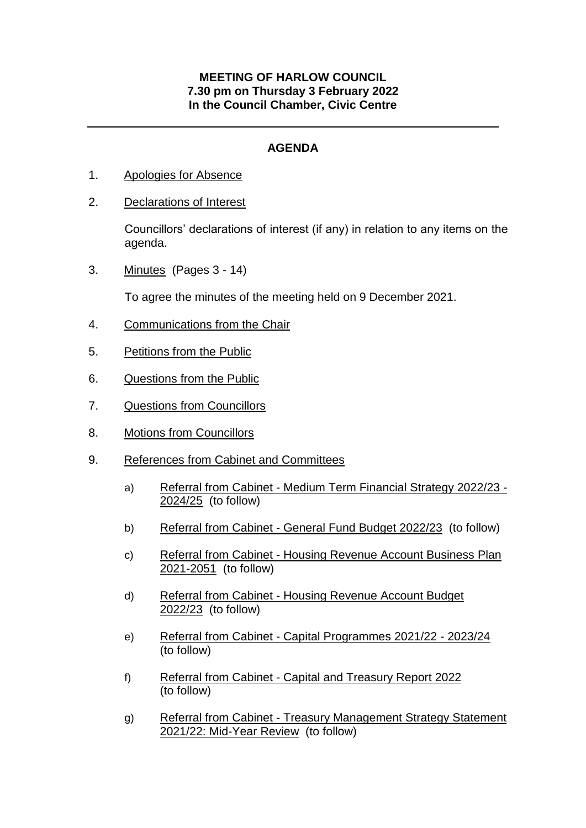## **MEETING OF HARLOW COUNCIL 7.30 pm on Thursday 3 February 2022 In the Council Chamber, Civic Centre**

## **AGENDA**

- 1. Apologies for Absence
- 2. Declarations of Interest

Councillors' declarations of interest (if any) in relation to any items on the agenda.

3. Minutes (Pages 3 - 14)

To agree the minutes of the meeting held on 9 December 2021.

- 4. Communications from the Chair
- 5. Petitions from the Public
- 6. Questions from the Public
- 7. Questions from Councillors
- 8. Motions from Councillors
- 9. References from Cabinet and Committees
	- a) Referral from Cabinet Medium Term Financial Strategy 2022/23 2024/25 (to follow)
	- b) Referral from Cabinet General Fund Budget 2022/23 (to follow)
	- c) Referral from Cabinet Housing Revenue Account Business Plan 2021-2051 (to follow)
	- d) Referral from Cabinet Housing Revenue Account Budget 2022/23 (to follow)
	- e) Referral from Cabinet Capital Programmes 2021/22 2023/24 (to follow)
	- f) Referral from Cabinet Capital and Treasury Report 2022 (to follow)
	- g) Referral from Cabinet Treasury Management Strategy Statement 2021/22: Mid-Year Review (to follow)